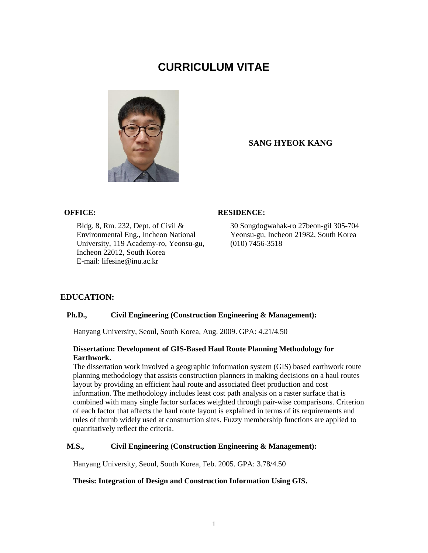# **CURRICULUM VITAE**



# **SANG HYEOK KANG**

Bldg. 8, Rm. 232, Dept. of Civil & Environmental Eng., Incheon National University, 119 Academy-ro, Yeonsu-gu, Incheon 22012, South Korea E-mail: lifesine@inu.ac.kr

# **OFFICE: RESIDENCE:**

30 Songdogwahak-ro 27beon-gil 305-704 Yeonsu-gu, Incheon 21982, South Korea (010) 7456-3518

# **EDUCATION:**

# **Ph.D., Civil Engineering (Construction Engineering & Management):**

Hanyang University, Seoul, South Korea, Aug. 2009. GPA: 4.21/4.50

#### **Dissertation: Development of GIS-Based Haul Route Planning Methodology for Earthwork.**

The dissertation work involved a geographic information system (GIS) based earthwork route planning methodology that assists construction planners in making decisions on a haul routes layout by providing an efficient haul route and associated fleet production and cost information. The methodology includes least cost path analysis on a raster surface that is combined with many single factor surfaces weighted through pair-wise comparisons. Criterion of each factor that affects the haul route layout is explained in terms of its requirements and rules of thumb widely used at construction sites. Fuzzy membership functions are applied to quantitatively reflect the criteria.

#### **M.S., Civil Engineering (Construction Engineering & Management):**

Hanyang University, Seoul, South Korea, Feb. 2005. GPA: 3.78/4.50

#### **Thesis: Integration of Design and Construction Information Using GIS.**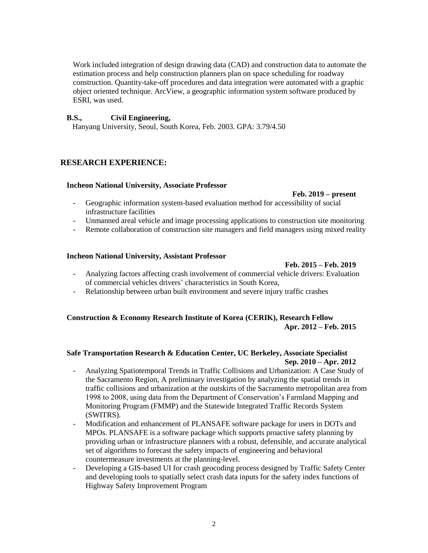Work included integration of design drawing data (CAD) and construction data to automate the estimation process and help construction planners plan on space scheduling for roadway construction. Quantity-take-off procedures and data integration were automated with a graphic object oriented technique. ArcView, a geographic information system software produced by ESRI, was used.

#### **B.S., Civil Engineering,**

Hanyang University, Seoul, South Korea, Feb. 2003. GPA: 3.79/4.50

# **RESEARCH EXPERIENCE:**

#### **Incheon National University, Associate Professor**

 **Feb. 2019 – present**

- Geographic information system-based evaluation method for accessibility of social infrastructure facilities
- Unmanned areal vehicle and image processing applications to construction site monitoring
- Remote collaboration of construction site managers and field managers using mixed reality

#### **Incheon National University, Assistant Professor**

 **Feb. 2015 – Feb. 2019**

- Analyzing factors affecting crash involvement of commercial vehicle drivers: Evaluation of commercial vehicles drivers' characteristics in South Korea,
- Relationship between urban built environment and severe injury traffic crashes

# **Construction & Economy Research Institute of Korea (CERIK), Research Fellow Apr. 2012 – Feb. 2015**

# **Safe Transportation Research & Education Center, UC Berkeley, Associate Specialist Sep. 2010 – Apr. 2012**

- Analyzing Spatiotemporal Trends in Traffic Collisions and Urbanization: A Case Study of the Sacramento Region, A preliminary investigation by analyzing the spatial trends in traffic collisions and urbanization at the outskirts of the Sacramento metropolitan area from 1998 to 2008, using data from the Department of Conservation's Farmland Mapping and Monitoring Program (FMMP) and the Statewide Integrated Traffic Records System (SWITRS).
- Modification and enhancement of PLANSAFE software package for users in DOTs and MPOs. PLANSAFE is a software package which supports proactive safety planning by providing urban or infrastructure planners with a robust, defensible, and accurate analytical set of algorithms to forecast the safety impacts of engineering and behavioral countermeasure investments at the planning-level.
- Developing a GIS-based UI for crash geocoding process designed by Traffic Safety Center and developing tools to spatially select crash data inputs for the safety index functions of Highway Safety Improvement Program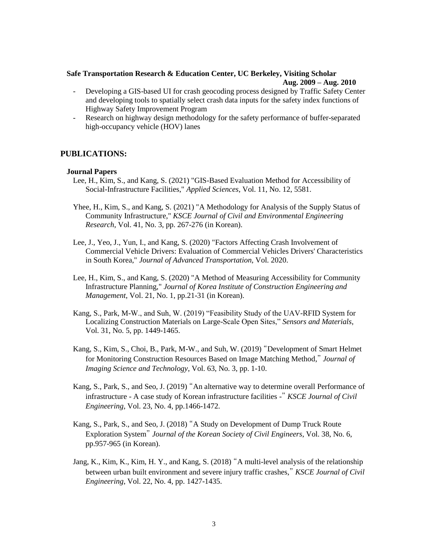# **Safe Transportation Research & Education Center, UC Berkeley, Visiting Scholar Aug. 2009 – Aug. 2010**

- Developing a GIS-based UI for crash geocoding process designed by Traffic Safety Center and developing tools to spatially select crash data inputs for the safety index functions of Highway Safety Improvement Program
- Research on highway design methodology for the safety performance of buffer-separated high-occupancy vehicle (HOV) lanes

# **PUBLICATIONS:**

#### **Journal Papers**

- Lee, H., Kim, S., and Kang, S. (2021) "GIS-Based Evaluation Method for Accessibility of Social-Infrastructure Facilities," *Applied Sciences*, Vol. 11, No. 12, 5581.
- Yhee, H., Kim, S., and Kang, S. (2021) "A Methodology for Analysis of the Supply Status of Community Infrastructure," *KSCE Journal of Civil and Environmental Engineering Research*, Vol. 41, No. 3, pp. 267-276 (in Korean).
- Lee, J., Yeo, J., Yun, I., and Kang, S. (2020) "Factors Affecting Crash Involvement of Commercial Vehicle Drivers: Evaluation of Commercial Vehicles Drivers' Characteristics in South Korea," *Journal of Advanced Transportation*, Vol. 2020.
- Lee, H., Kim, S., and Kang, S. (2020) "A Method of Measuring Accessibility for Community Infrastructure Planning," *Journal of Korea Institute of Construction Engineering and Management*, Vol. 21, No. 1, pp.21-31 (in Korean).
- Kang, S., Park, M-W., and Suh, W. (2019) "Feasibility Study of the UAV-RFID System for Localizing Construction Materials on Large-Scale Open Sites," *Sensors and Materials*, Vol. 31, No. 5, pp. 1449-1465.
- Kang, S., Kim, S., Choi, B., Park, M-W., and Suh, W. (2019) "Development of Smart Helmet for Monitoring Construction Resources Based on Image Matching Method," *Journal of Imaging Science and Technology*, Vol. 63, No. 3, pp. 1-10.
- Kang, S., Park, S., and Seo, J. (2019) "An alternative way to determine overall Performance of infrastructure - A case study of Korean infrastructure facilities -" *KSCE Journal of Civil Engineering*, Vol. 23, No. 4, pp.1466-1472.
- Kang, S., Park, S., and Seo, J. (2018) "A Study on Development of Dump Truck Route Exploration System" *Journal of the Korean Society of Civil Engineers*, Vol. 38, No. 6, pp.957-965 (in Korean).
- Jang, K., Kim, K., Kim, H. Y., and Kang, S. (2018) "A multi-level analysis of the relationship between urban built environment and severe injury traffic crashes," *KSCE Journal of Civil Engineering*, Vol. 22, No. 4, pp. 1427-1435.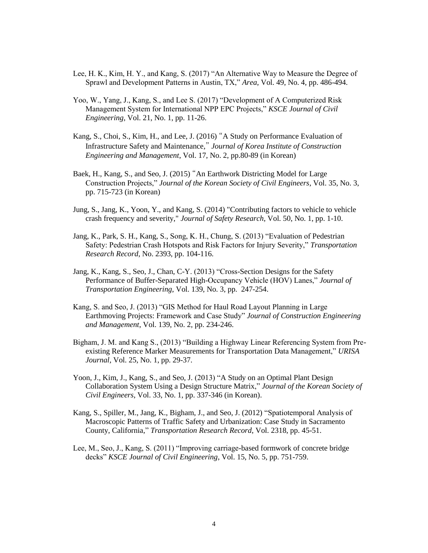- Lee, H. K., Kim, H. Y., and Kang, S. (2017) "An Alternative Way to Measure the Degree of Sprawl and Development Patterns in Austin, TX," *Area*, Vol. 49, No. 4, pp. 486-494.
- Yoo, W., Yang, J., Kang, S., and Lee S. (2017) "Development of A Computerized Risk Management System for International NPP EPC Projects," *KSCE Journal of Civil Engineering*, Vol. 21, No. 1, pp. 11-26.
- Kang, S., Choi, S., Kim, H., and Lee, J. (2016) "A Study on Performance Evaluation of Infrastructure Safety and Maintenance," *Journal of Korea Institute of Construction Engineering and Management*, Vol. 17, No. 2, pp.80-89 (in Korean)
- Baek, H., Kang, S., and Seo, J. (2015) "An Earthwork Districting Model for Large Construction Projects," *Journal of the Korean Society of Civil Engineers*, Vol. 35, No. 3, pp. 715-723 (in Korean)
- Jung, S., Jang, K., Yoon, Y., and Kang, S. (2014) "Contributing factors to vehicle to vehicle crash frequency and severity," *Journal of Safety Research*, Vol. 50, No. 1, pp. 1-10.
- Jang, K., Park, S. H., Kang, S., Song, K. H., Chung, S. (2013) "Evaluation of Pedestrian Safety: Pedestrian Crash Hotspots and Risk Factors for Injury Severity," *Transportation Research Record*, No. 2393, pp. 104-116.
- Jang, K., Kang, S., Seo, J., Chan, C-Y. (2013) "Cross-Section Designs for the Safety Performance of Buffer-Separated High-Occupancy Vehicle (HOV) Lanes," *Journal of Transportation Engineering*, Vol. 139, No. 3, pp. 247-254.
- Kang, S. and Seo, J. (2013) "GIS Method for Haul Road Layout Planning in Large Earthmoving Projects: Framework and Case Study" *Journal of Construction Engineering and Management*, Vol. 139, No. 2, pp. 234-246.
- Bigham, J. M. and Kang S., (2013) "Building a Highway Linear Referencing System from Preexisting Reference Marker Measurements for Transportation Data Management," *URISA Journal*, Vol. 25, No. 1, pp. 29-37.
- Yoon, J., Kim, J., Kang, S., and Seo, J. (2013) "A Study on an Optimal Plant Design Collaboration System Using a Design Structure Matrix," *Journal of the Korean Society of Civil Engineers*, Vol. 33, No. 1, pp. 337-346 (in Korean).
- Kang, S., Spiller, M., Jang, K., Bigham, J., and Seo, J. (2012) "Spatiotemporal Analysis of Macroscopic Patterns of Traffic Safety and Urbanization: Case Study in Sacramento County, California," *Transportation Research Record*, Vol. 2318, pp. 45-51.
- Lee, M., Seo, J., Kang, S. (2011) "Improving carriage-based formwork of concrete bridge decks" *KSCE Journal of Civil Engineering*, Vol. 15, No. 5, pp. 751-759.